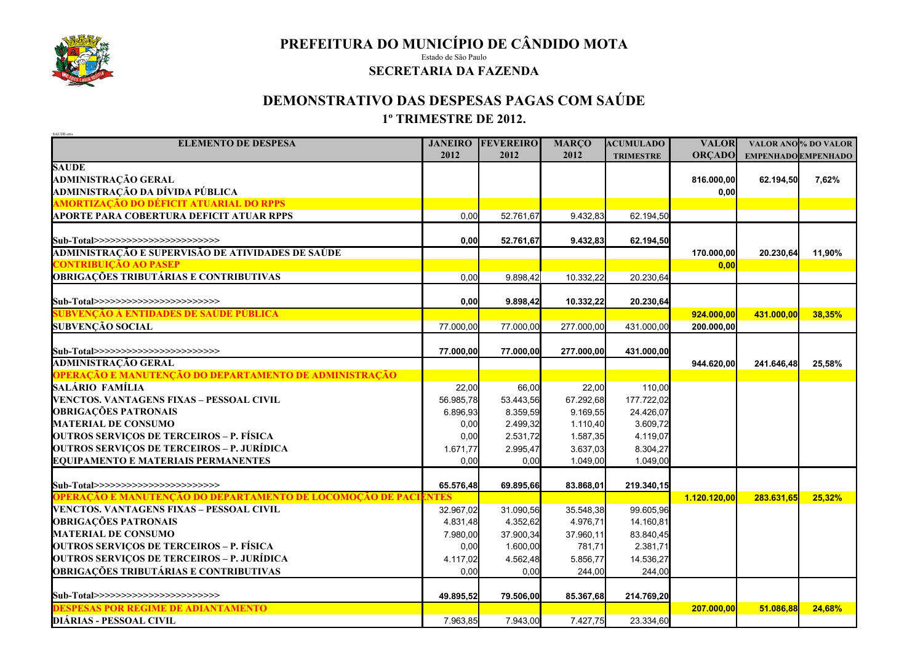

**PREFEITURA DO MUNICÍPIO DE CÂNDIDO MOTA**

Estado de São Paulo

## **SECRETARIA DA FAZENDA**

## **DEMONSTRATIVO DAS DESPESAS PAGAS COM SAÚDE 1º TRIMESTRE DE 2012.**

| SAUDE-etts<br><b>ELEMENTO DE DESPESA</b>                        | <b>JANEIRO</b> | <b>FEVEREIRO</b> | <b>MARÇO</b> | <b>ACUMULADO</b> | <b>VALOR</b>  |                            | VALOR ANO % DO VALOR |
|-----------------------------------------------------------------|----------------|------------------|--------------|------------------|---------------|----------------------------|----------------------|
|                                                                 | 2012           | 2012             | 2012         | <b>TRIMESTRE</b> | <b>ORÇADO</b> | <b>EMPENHADO EMPENHADO</b> |                      |
| <b>SAUDE</b>                                                    |                |                  |              |                  |               |                            |                      |
| <b>ADMINISTRAÇÃO GERAL</b>                                      |                |                  |              |                  | 816.000,00    | 62.194,50                  | 7,62%                |
| ADMINISTRAÇÃO DA DÍVIDA PÚBLICA                                 |                |                  |              |                  | 0,00          |                            |                      |
| <b>AMORTIZAÇÃO DO DÉFICIT ATUARIAL DO RPPS</b>                  |                |                  |              |                  |               |                            |                      |
| APORTE PARA COBERTURA DEFICIT ATUAR RPPS                        | 0.00           | 52.761,67        | 9.432,83     | 62.194,50        |               |                            |                      |
|                                                                 |                |                  |              |                  |               |                            |                      |
| Sub-Total>>>>>>>>>>>>>>>>>>>>>>>>                               | 0,00           | 52.761,67        | 9.432,83     | 62.194,50        |               |                            |                      |
| ADMINISTRAÇÃO E SUPERVISÃO DE ATIVIDADES DE SAÚDE               |                |                  |              |                  | 170.000,00    | 20.230,64                  | 11,90%               |
| <b>CONTRIBUIÇÃO AO PASEP</b>                                    |                |                  |              |                  | 0,00          |                            |                      |
| <b>OBRIGAÇÕES TRIBUTÁRIAS E CONTRIBUTIVAS</b>                   | 0.00           | 9.898,42         | 10.332,22    | 20.230,64        |               |                            |                      |
|                                                                 |                |                  |              |                  |               |                            |                      |
| Sub-Total>>>>>>>>>>>>>>>>>>>>>>>>                               | 0,00           | 9.898,42         | 10.332,22    | 20.230,64        |               |                            |                      |
| <u>SUBVENÇÃO À ENTIDADES DE SAÚDE PÚBLICA</u>                   |                |                  |              |                  | 924.000,00    | 431.000,00                 | 38,35%               |
| <b>SUBVENÇÃO SOCIAL</b>                                         | 77.000,00      | 77.000,00        | 277.000,00   | 431.000,00       | 200.000.00    |                            |                      |
|                                                                 |                |                  |              |                  |               |                            |                      |
| Sub-Total>>>>>>>>>>>>>>>>>>>>>>>>                               | 77.000,00      | 77.000,00        | 277.000,00   | 431.000,00       |               |                            |                      |
| <b>ADMINISTRAÇÃO GERAL</b>                                      |                |                  |              |                  | 944.620,00    | 241.646,48                 | 25,58%               |
| OPERAÇÃO E MANUTENÇÃO DO DEPARTAMENTO DE ADMINISTRAÇÃO          |                |                  |              |                  |               |                            |                      |
| SALÁRIO FAMÍLIA                                                 | 22,00          | 66,00            | 22,00        | 110,00           |               |                            |                      |
| VENCTOS. VANTAGENS FIXAS – PESSOAL CIVIL                        | 56.985,78      | 53.443,56        | 67.292,68    | 177.722,02       |               |                            |                      |
| <b>OBRIGAÇÕES PATRONAIS</b>                                     | 6.896,93       | 8.359,59         | 9.169,55     | 24.426,07        |               |                            |                      |
| <b>MATERIAL DE CONSUMO</b>                                      | 0,00           | 2.499,32         | 1.110,40     | 3.609,72         |               |                            |                      |
| <b>OUTROS SERVIÇOS DE TERCEIROS – P. FÍSICA</b>                 | 0,00           | 2.531,72         | 1.587,35     | 4.119,07         |               |                            |                      |
| <b>OUTROS SERVIÇOS DE TERCEIROS – P. JURÍDICA</b>               | 1.671,77       | 2.995,47         | 3.637,03     | 8.304,27         |               |                            |                      |
| <b>EQUIPAMENTO E MATERIAIS PERMANENTES</b>                      | 0,00           | 0,00             | 1.049,00     | 1.049,00         |               |                            |                      |
|                                                                 |                |                  |              |                  |               |                            |                      |
| Sub-Total>>>>>>>>>>>>>>>>>>>>>>>>                               | 65.576,48      | 69.895,66        | 83.868,01    | 219.340,15       |               |                            |                      |
| OPERAÇÃO E MANUTENÇÃO DO DEPARTAMENTO DE LOCOMOÇÃO DE PACIENTES |                |                  |              |                  | 1.120.120,00  | 283.631,65                 | 25,32%               |
| VENCTOS. VANTAGENS FIXAS - PESSOAL CIVIL                        | 32.967,02      | 31.090,56        | 35.548,38    | 99.605,96        |               |                            |                      |
| <b>OBRIGAÇÕES PATRONAIS</b>                                     | 4.831,48       | 4.352,62         | 4.976,71     | 14.160,81        |               |                            |                      |
| <b>MATERIAL DE CONSUMO</b>                                      | 7.980,00       | 37.900,34        | 37.960,11    | 83.840,45        |               |                            |                      |
| <b>OUTROS SERVIÇOS DE TERCEIROS – P. FÍSICA</b>                 | 0,00           | 1.600,00         | 781,71       | 2.381,71         |               |                            |                      |
| <b>OUTROS SERVIÇOS DE TERCEIROS – P. JURÍDICA</b>               | 4.117,02       | 4.562,48         | 5.856,77     | 14.536,27        |               |                            |                      |
| <b>OBRIGAÇÕES TRIBUTÁRIAS E CONTRIBUTIVAS</b>                   | 0,00           | 0,00             | 244,00       | 244,00           |               |                            |                      |
|                                                                 |                |                  |              |                  |               |                            |                      |
| Sub-Total>>>>>>>>>>>>>>>>>>>>>>>>                               | 49.895,52      | 79.506,00        | 85.367,68    | 214.769,20       |               |                            |                      |
| <b>DESPESAS POR REGIME DE ADIANTAMENTO</b>                      |                |                  |              |                  | 207.000,00    | 51.086,88                  | 24,68%               |
| DIÁRIAS - PESSOAL CIVIL                                         | 7.963,85       | 7.943,00         | 7.427,75     | 23.334,60        |               |                            |                      |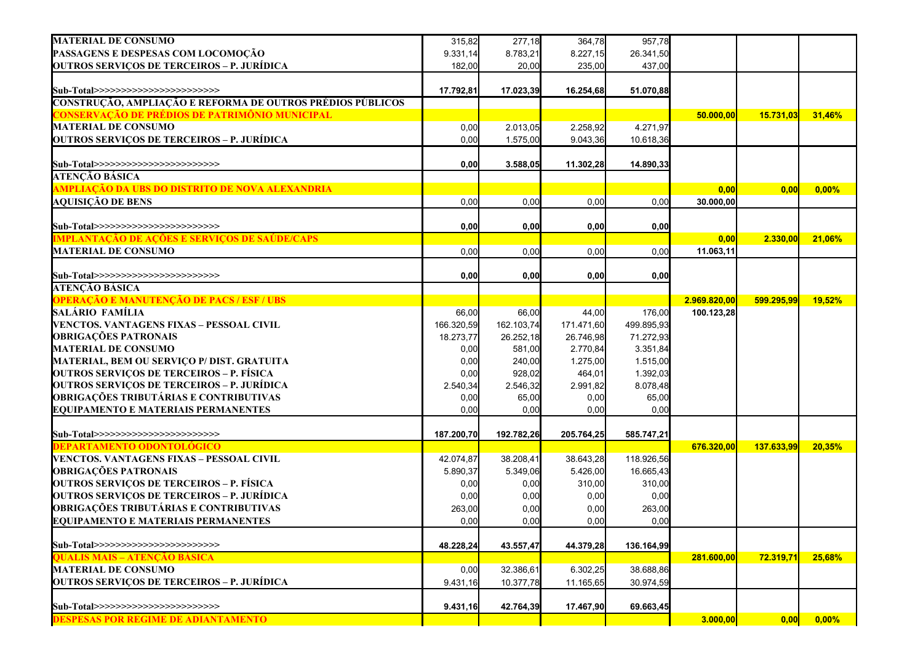| <b>MATERIAL DE CONSUMO</b>                                 | 315,82     | 277,18     | 364,78     | 957,78     |              |            |        |
|------------------------------------------------------------|------------|------------|------------|------------|--------------|------------|--------|
| PASSAGENS E DESPESAS COM LOCOMOÇÃO                         | 9.331,14   | 8.783,21   | 8.227,15   | 26.341,50  |              |            |        |
| OUTROS SERVIÇOS DE TERCEIROS – P. JURÍDICA                 | 182,00     | 20,00      | 235,00     | 437,00     |              |            |        |
| Sub-Total>>>>>>>>>>>>>>>>>>>>>>>>>                         | 17.792,81  | 17.023,39  | 16.254,68  | 51.070,88  |              |            |        |
| CONSTRUÇÃO, AMPLIAÇÃO E REFORMA DE OUTROS PRÉDIOS PÚBLICOS |            |            |            |            |              |            |        |
| <u> CONSERVAÇÃO DE PRÉDIOS DE PATRIMÔNIO MUNICIPAL</u>     |            |            |            |            | 50.000,00    | 15.731,03  | 31,46% |
| <b>MATERIAL DE CONSUMO</b>                                 | 0,00       | 2.013,05   | 2.258,92   | 4.271,97   |              |            |        |
| OUTROS SERVIÇOS DE TERCEIROS – P. JURÍDICA                 | 0,00       | 1.575,00   | 9.043,36   | 10.618,36  |              |            |        |
|                                                            |            |            |            |            |              |            |        |
| Sub-Total>>>>>>>>>>>>>>>>>>>>>>>>                          | 0,00       | 3.588,05   | 11.302,28  | 14.890,33  |              |            |        |
| ATENÇÃO BÁSICA                                             |            |            |            |            |              |            |        |
| AMPLIAÇÃO DA UBS DO DISTRITO DE NOVA ALEXANDRIA            |            |            |            |            | 0,00         | 0,00       | 0,00%  |
| <b>AQUISIÇÃO DE BENS</b>                                   | 0,00       | 0,00       | 0,00       | 0,00       | 30.000,00    |            |        |
|                                                            |            |            |            |            |              |            |        |
| Sub-Total>>>>>>>>>>>>>>>>>>>>>>>>                          | 0,00       | 0,00       | 0,00       | 0,00       |              |            |        |
| <u>MPLANTAÇÃO DE AÇÕES E SERVIÇOS DE SAÚDE/CAPS</u>        |            |            |            |            | 0,00         | 2.330,00   | 21,06% |
| <b>MATERIAL DE CONSUMO</b>                                 | 0,00       | 0,00       | 0,00       | 0,00       | 11.063,11    |            |        |
|                                                            |            |            |            |            |              |            |        |
| Sub-Total>>>>>>>>>>>>>>>>>>>>>>>>                          | 0,00       | 0,00       | 0,00       | 0,00       |              |            |        |
| ATENCÃO BÁSICA                                             |            |            |            |            |              |            |        |
| OPERAÇÃO E MANUTENÇÃO DE PACS / ESF / UBS                  |            |            |            |            | 2.969.820,00 | 599.295,99 | 19,52% |
| salário família                                            | 66,00      | 66,00      | 44,00      | 176,00     | 100.123,28   |            |        |
| VENCTOS. VANTAGENS FIXAS – PESSOAL CIVIL                   | 166.320,59 | 162.103,74 | 171.471,60 | 499.895,93 |              |            |        |
| <b>OBRIGAÇÕES PATRONAIS</b>                                | 18.273,77  | 26.252,18  | 26.746,98  | 71.272,93  |              |            |        |
| <b>MATERIAL DE CONSUMO</b>                                 | 0,00       | 581,00     | 2.770,84   | 3.351,84   |              |            |        |
| MATERIAL, BEM OU SERVIÇO P/ DIST. GRATUITA                 | 0,00       | 240,00     | 1.275,00   | 1.515,00   |              |            |        |
| <b>OUTROS SERVIÇOS DE TERCEIROS – P. FÍSICA</b>            | 0,00       | 928,02     | 464,01     | 1.392,03   |              |            |        |
| <b>OUTROS SERVIÇOS DE TERCEIROS – P. JURÍDICA</b>          | 2.540,34   | 2.546,32   | 2.991,82   | 8.078,48   |              |            |        |
| OBRIGAÇÕES TRIBUTÁRIAS E CONTRIBUTIVAS                     | 0,00       | 65,00      | 0,00       | 65,00      |              |            |        |
| <b>EQUIPAMENTO E MATERIAIS PERMANENTES</b>                 | 0,00       | 0,00       | 0,00       | 0,00       |              |            |        |
|                                                            |            |            |            |            |              |            |        |
| Sub-Total>>>>>>>>>>>>>>>>>>>>>>>>                          | 187.200,70 | 192.782,26 | 205.764,25 | 585.747,21 |              |            |        |
| <u>DEPARTAMENTO ODONTOLÓGICO</u>                           |            |            |            |            | 676.320,00   | 137.633,99 | 20,35% |
| VENCTOS. VANTAGENS FIXAS – PESSOAL CIVIL                   | 42.074,87  | 38.208,41  | 38.643,28  | 118.926,56 |              |            |        |
| <b>OBRIGAÇÕES PATRONAIS</b>                                | 5.890,37   | 5.349,06   | 5.426,00   | 16.665,43  |              |            |        |
| <b>OUTROS SERVIÇOS DE TERCEIROS – P. FÍSICA</b>            | 0,00       | 0,00       | 310,00     | 310,00     |              |            |        |
| <b>OUTROS SERVIÇOS DE TERCEIROS – P. JURÍDICA</b>          | 0,00       | 0,00       | 0,00       | 0,00       |              |            |        |
| OBRIGAÇÕES TRIBUTÁRIAS E CONTRIBUTIVAS                     | 263,00     | 0,00       | 0,00       | 263,00     |              |            |        |
| <b>EQUIPAMENTO E MATERIAIS PERMANENTES</b>                 | 0,00       | 0,00       | 0,00       | 0,00       |              |            |        |
| Sub-Total>>>>>>>>>>>>>>>>>>>>>>>>                          |            |            |            |            |              |            |        |
| QUALIS MAIS – ATENÇÃO BÁSICA                               | 48.228,24  | 43.557,47  | 44.379,28  | 136.164,99 | 281.600,00   | 72.319,71  | 25,68% |
| <b>MATERIAL DE CONSUMO</b>                                 | 0,00       | 32.386,61  | 6.302,25   | 38.688,86  |              |            |        |
| OUTROS SERVIÇOS DE TERCEIROS – P. JURÍDICA                 | 9.431,16   | 10.377,78  | 11.165,65  | 30.974,59  |              |            |        |
|                                                            |            |            |            |            |              |            |        |
|                                                            |            |            |            |            |              |            |        |
| Sub-Total>>>>>>>>>>>>>>>>>>>>>>>>                          | 9.431,16   | 42.764,39  | 17.467,90  | 69.663,45  |              |            |        |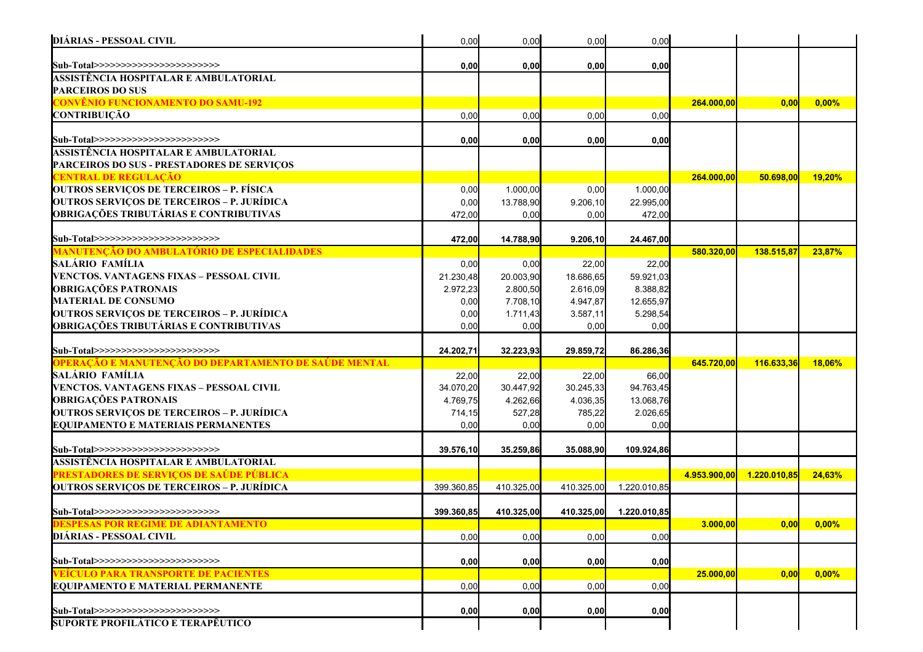| <b>DIÁRIAS - PESSOAL CIVIL</b>                                                 | 0,00       | 0,00       | 0,00       | 0,00         |              |                    |          |
|--------------------------------------------------------------------------------|------------|------------|------------|--------------|--------------|--------------------|----------|
| Sub-Total>>>>>>>>>>>>>>>>>>>>>>>>                                              | 0,00       | 0,00       | 0,00       | 0,00         |              |                    |          |
| ASSISTÊNCIA HOSPITALAR E AMBULATORIAL                                          |            |            |            |              |              |                    |          |
| <b>PARCEIROS DO SUS</b>                                                        |            |            |            |              |              |                    |          |
| <mark>CONVÊNIO FUNCIONAMENTO DO SAMU-192</mark>                                |            |            |            |              | 264.000,00   | 0,00               | 0,00%    |
| <b>CONTRIBUIÇÃO</b>                                                            | 0,00       | 0,00       | 0,00       | 0,00         |              |                    |          |
|                                                                                |            |            |            |              |              |                    |          |
| Sub-Total>>>>>>>>>>>>>>>>>>>>>>>>>                                             | 0,00       | 0,00       | 0,00       | 0,00         |              |                    |          |
| ASSISTÊNCIA HOSPITALAR E AMBULATORIAL                                          |            |            |            |              |              |                    |          |
| <b>PARCEIROS DO SUS - PRESTADORES DE SERVIÇOS</b>                              |            |            |            |              |              |                    |          |
| <b>CENTRAL DE REGULAÇÃO</b>                                                    |            |            |            |              | 264.000,00   | 50.698,00          | 19,20%   |
| <b>OUTROS SERVIÇOS DE TERCEIROS - P. FÍSICA</b>                                | 0,00       | 1.000,00   | 0,00       | 1.000,00     |              |                    |          |
| <b>OUTROS SERVIÇOS DE TERCEIROS - P. JURÍDICA</b>                              | 0,00       | 13.788,90  | 9.206,10   | 22.995,00    |              |                    |          |
| <b>OBRIGAÇÕES TRIBUTÁRIAS E CONTRIBUTIVAS</b>                                  | 472,00     | 0,00       | 0,00       | 472,00       |              |                    |          |
| Sub-Total>>>>>>>>>>>>>>>>>>>>>>>>>                                             | 472,00     | 14.788,90  | 9.206,10   | 24.467,00    |              |                    |          |
| <u>MANUTENÇÃO DO AMBULATÓRIO DE ESPECIALIDADES</u>                             |            |            |            |              | 580.320,00   | 138.515,87         | 23,87%   |
| SALÁRIO FAMÍLIA                                                                | 0,00       | 0,00       | 22,00      | 22,00        |              |                    |          |
| VENCTOS. VANTAGENS FIXAS - PESSOAL CIVIL                                       | 21.230,48  | 20.003,90  | 18.686,65  | 59.921,03    |              |                    |          |
| <b>OBRIGAÇÕES PATRONAIS</b>                                                    | 2.972,23   | 2.800,50   | 2.616,09   | 8.388,82     |              |                    |          |
| <b>MATERIAL DE CONSUMO</b>                                                     | 0,00       | 7.708,10   | 4.947,87   | 12.655,97    |              |                    |          |
| <b>OUTROS SERVIÇOS DE TERCEIROS - P. JURÍDICA</b>                              | 0,00       | 1.711,43   | 3.587,11   | 5.298,54     |              |                    |          |
| <b>OBRIGAÇÕES TRIBUTÁRIAS E CONTRIBUTIVAS</b>                                  | 0,00       | 0,00       | 0,00       | 0,00         |              |                    |          |
|                                                                                |            |            |            |              |              |                    |          |
| Sub-Total>>>>>>>>>>>>>>>>>>>>>>>>                                              | 24.202,71  | 32.223,93  | 29.859,72  | 86.286,36    |              |                    |          |
| <u>OPERAÇÃO E MANUTENÇÃO DO DEPARTAMENTO DE SAÚDE MENTAL</u>                   |            |            |            |              | 645.720,00   | 116.633,36         | 18,06%   |
| SALÁRIO FAMÍLIA                                                                | 22,00      | 22,00      | 22,00      | 66,00        |              |                    |          |
| VENCTOS. VANTAGENS FIXAS - PESSOAL CIVIL                                       | 34.070,20  | 30.447,92  | 30.245,33  | 94.763,45    |              |                    |          |
| <b>OBRIGAÇÕES PATRONAIS</b>                                                    | 4.769,75   | 4.262,66   | 4.036,35   | 13.068,76    |              |                    |          |
| <b>OUTROS SERVIÇOS DE TERCEIROS - P. JURÍDICA</b>                              | 714,15     | 527,28     | 785,22     | 2.026,65     |              |                    |          |
| <b>EQUIPAMENTO E MATERIAIS PERMANENTES</b>                                     | 0,00       | 0,00       | 0,00       | 0,00         |              |                    |          |
| Sub-Total>>>>>>>>>>>>>>>>>>>>>>>>>                                             | 39.576,10  | 35.259,86  | 35.088,90  | 109.924,86   |              |                    |          |
| ASSISTÊNCIA HOSPITALAR E AMBULATORIAL                                          |            |            |            |              |              |                    |          |
| <u>PRESTADORES DE SERVIÇOS DE SAÚDE PÚBLICA</u>                                |            |            |            |              | 4.953.900,00 | 1.220.010,85       | 24,63%   |
| <b>OUTROS SERVIÇOS DE TERCEIROS – P. JURÍDICA</b>                              | 399.360,85 | 410.325,00 | 410.325,00 | 1.220.010,85 |              |                    |          |
|                                                                                |            |            |            |              |              |                    |          |
| Sub-Total>>>>>>>>>>>>>>>>>>>>>>>>                                              | 399.360.85 | 410.325,00 | 410.325,00 | 1.220.010.85 |              |                    |          |
| DESPESAS POR REGIME DE ADIANTAMENTO                                            |            |            |            |              | 3.000,00     | $\vert 0,00 \vert$ | $0,00\%$ |
| <b>DIÁRIAS - PESSOAL CIVIL</b>                                                 | 0,00       | 0,00       | 0,00       | 0,00         |              |                    |          |
|                                                                                |            |            |            |              |              |                    |          |
| Sub-Total>>>>>>>>>>>>>>>>>>>>>>>>                                              | 0,00       | 0,00       | 0,00       | 0,00         |              |                    |          |
| <u>VEÍCULO PARA TRANSPORTE DE PACIENTES</u>                                    |            |            |            |              | 25.000,00    | 0,00               | 0,00%    |
| <b>EQUIPAMENTO E MATERIAL PERMANENTE</b>                                       |            |            |            |              |              |                    |          |
|                                                                                | 0,00       | 0,00       | 0,00       | 0,00         |              |                    |          |
|                                                                                |            |            |            |              |              |                    |          |
| Sub-Total>>>>>>>>>>>>>>>>>>>>>>>>><br><b>SUPORTE PROFILÁTICO E TERAPÊUTICO</b> | 0,00       | 0,00       | 0,00       | 0,00         |              |                    |          |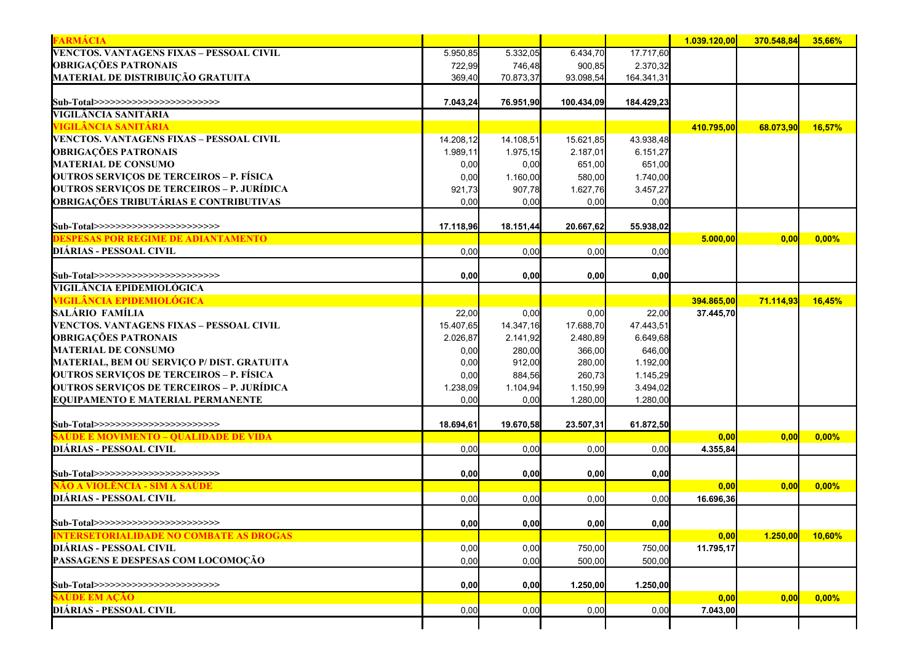| <b>FARMÁCIA</b>                                                                  |           |           |            |            | 1.039.120.00 | 370.548.84         | 35,66%   |
|----------------------------------------------------------------------------------|-----------|-----------|------------|------------|--------------|--------------------|----------|
| VENCTOS. VANTAGENS FIXAS - PESSOAL CIVIL                                         | 5.950,85  | 5.332,05  | 6.434,70   | 17.717,60  |              |                    |          |
| <b>OBRIGAÇÕES PATRONAIS</b>                                                      | 722,99    | 746,48    | 900,85     | 2.370,32   |              |                    |          |
| MATERIAL DE DISTRIBUIÇÃO GRATUITA                                                | 369,40    | 70.873,37 | 93.098,54  | 164.341,31 |              |                    |          |
| Sub-Total>>>>>>>>>>>>>>>>>>>>>>>>                                                | 7.043,24  | 76.951,90 | 100.434,09 | 184.429,23 |              |                    |          |
| VIGILÂNCIA SANITÁRIA                                                             |           |           |            |            |              |                    |          |
| VIGILÂNCIA SANITÁRIA                                                             |           |           |            |            | 410.795,00   | 68.073,90          | 16,57%   |
| VENCTOS. VANTAGENS FIXAS – PESSOAL CIVIL                                         | 14.208,12 | 14.108,51 | 15.621,85  | 43.938,48  |              |                    |          |
| <b>OBRIGAÇÕES PATRONAIS</b>                                                      | 1.989,11  | 1.975,15  | 2.187,01   | 6.151,27   |              |                    |          |
| <b>MATERIAL DE CONSUMO</b>                                                       | 0,00      | 0,00      | 651,00     | 651,00     |              |                    |          |
| <b>OUTROS SERVIÇOS DE TERCEIROS – P. FÍSICA</b>                                  | 0,00      | 1.160,00  | 580,00     | 1.740,00   |              |                    |          |
| OUTROS SERVIÇOS DE TERCEIROS – P. JURÍDICA                                       | 921,73    | 907,78    | 1.627,76   | 3.457,27   |              |                    |          |
| <b>OBRIGAÇÕES TRIBUTÁRIAS E CONTRIBUTIVAS</b>                                    | 0,00      | 0,00      | 0,00       | 0,00       |              |                    |          |
|                                                                                  |           |           |            |            |              |                    |          |
| Sub-Total>>>>>>>>>>>>>>>>>>>>>>>>><br><b>DESPESAS POR REGIME DE ADIANTAMENTO</b> | 17.118,96 | 18.151,44 | 20.667,62  | 55.938,02  | 5.000,00     | 0,00               | $0,00\%$ |
| DIÁRIAS - PESSOAL CIVIL                                                          |           |           |            |            |              |                    |          |
|                                                                                  | 0,00      | 0,00      | 0,00       | 0,00       |              |                    |          |
| Sub-Total>>>>>>>>>>>>>>>>>>>>>>>>                                                | 0,00      | 0,00      | 0,00       | 0,00       |              |                    |          |
| VIGILÂNCIA EPIDEMIOLÓGICA                                                        |           |           |            |            |              |                    |          |
| VIGILÂNCIA EPIDEMIOLÓGICA                                                        |           |           |            |            | 394.865,00   | 71.114,93          | 16,45%   |
| SALÁRIO FAMÍLIA                                                                  | 22,00     | 0,00      | 0,00       | 22,00      | 37.445,70    |                    |          |
| VENCTOS. VANTAGENS FIXAS – PESSOAL CIVIL                                         | 15.407,65 | 14.347,16 | 17.688,70  | 47.443,51  |              |                    |          |
| <b>OBRIGAÇÕES PATRONAIS</b>                                                      | 2.026,87  | 2.141,92  | 2.480,89   | 6.649,68   |              |                    |          |
| <b>MATERIAL DE CONSUMO</b>                                                       | 0,00      | 280,00    | 366,00     | 646,00     |              |                    |          |
| MATERIAL, BEM OU SERVIÇO P/ DIST. GRATUITA                                       | 0,00      | 912,00    | 280,00     | 1.192,00   |              |                    |          |
| <b>OUTROS SERVIÇOS DE TERCEIROS – P. FÍSICA</b>                                  | 0,00      | 884,56    | 260,73     | 1.145,29   |              |                    |          |
| <b>OUTROS SERVIÇOS DE TERCEIROS – P. JURÍDICA</b>                                | 1.238,09  | 1.104,94  | 1.150,99   | 3.494,02   |              |                    |          |
| <b>EQUIPAMENTO E MATERIAL PERMANENTE</b>                                         | 0,00      | 0,00      | 1.280,00   | 1.280,00   |              |                    |          |
| Sub-Total>>>>>>>>>>>>>>>>>>>>>>>>>                                               | 18.694,61 | 19.670,58 | 23.507,31  | 61.872,50  |              |                    |          |
| <u>SAÚDE E MOVIMENTO – QUALIDADE DE VIDA</u>                                     |           |           |            |            | 0,00         | 0,00               | 0,00%    |
| DIÁRIAS - PESSOAL CIVIL                                                          | 0,00      | 0,00      | 0,00       | 0,00       | 4.355,84     |                    |          |
|                                                                                  |           |           |            |            |              |                    |          |
| Sub-Total>>>>>>>>>>>>>>>>>>>>>>>>                                                | 0,00      | 0,00      | 0,00       | 0,00       |              |                    |          |
| NÃO A VIOLÊNCIA - SIM A SAÚDE                                                    |           |           |            |            | 0,00         | $\vert 0,00 \vert$ | $0,00\%$ |
| DIÁRIAS - PESSOAL CIVIL                                                          | 0,00      | 0,00      | 0,00       | 0,00       | 16.696,36    |                    |          |
| Sub-Total>>>>>>>>>>>>>>>>>>>>>>>>                                                | 0,00      | 0,00      | 0,00       | 0,00       |              |                    |          |
| <b>INTERSETORIALIDADE NO COMBATE AS DROGAS</b>                                   |           |           |            |            | 0,00         | 1.250,00           | 10,60%   |
|                                                                                  | 0,00      | 0,00      | 750,00     | 750,00     | 11.795,17    |                    |          |
| DIÁRIAS - PESSOAL CIVIL                                                          |           | 0,00      | 500,00     | 500,00     |              |                    |          |
| PASSAGENS E DESPESAS COM LOCOMOÇÃO                                               | 0,00      |           |            |            |              |                    |          |
|                                                                                  | 0,00      |           | 1.250,00   | 1.250,00   |              |                    |          |
| Sub-Total>>>>>>>>>>>>>>>>>>>>>>>>><br><b>SAÚDE EM AÇÃO</b>                       |           | 0,00      |            |            | 0,00         | $\vert 0,00 \vert$ | $0,00\%$ |